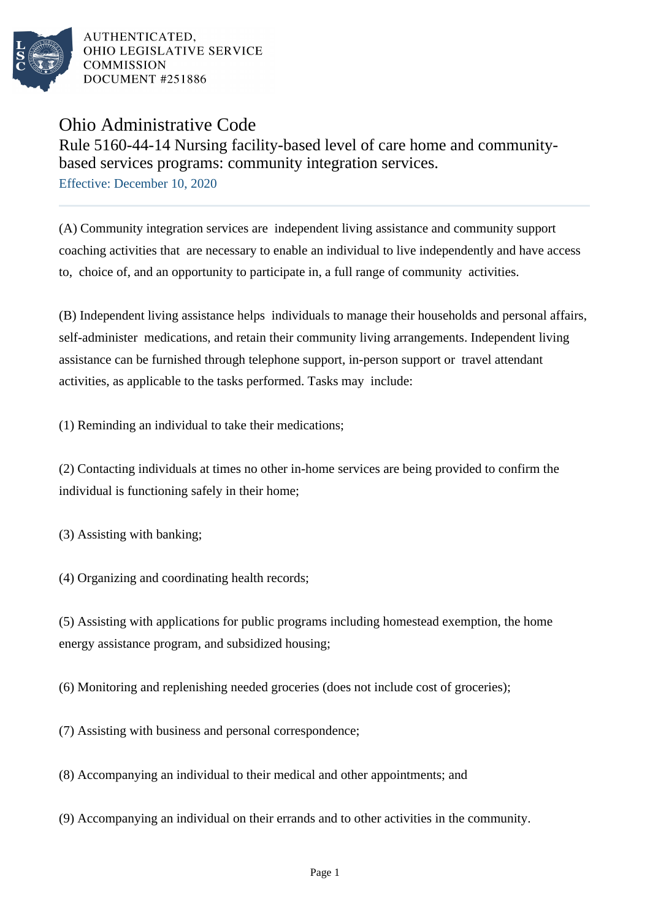

## Ohio Administrative Code

Rule 5160-44-14 Nursing facility-based level of care home and communitybased services programs: community integration services.

Effective: December 10, 2020

(A) Community integration services are independent living assistance and community support coaching activities that are necessary to enable an individual to live independently and have access to, choice of, and an opportunity to participate in, a full range of community activities.

(B) Independent living assistance helps individuals to manage their households and personal affairs, self-administer medications, and retain their community living arrangements. Independent living assistance can be furnished through telephone support, in-person support or travel attendant activities, as applicable to the tasks performed. Tasks may include:

(1) Reminding an individual to take their medications;

(2) Contacting individuals at times no other in-home services are being provided to confirm the individual is functioning safely in their home;

(3) Assisting with banking;

(4) Organizing and coordinating health records;

(5) Assisting with applications for public programs including homestead exemption, the home energy assistance program, and subsidized housing;

(6) Monitoring and replenishing needed groceries (does not include cost of groceries);

(7) Assisting with business and personal correspondence;

(8) Accompanying an individual to their medical and other appointments; and

(9) Accompanying an individual on their errands and to other activities in the community.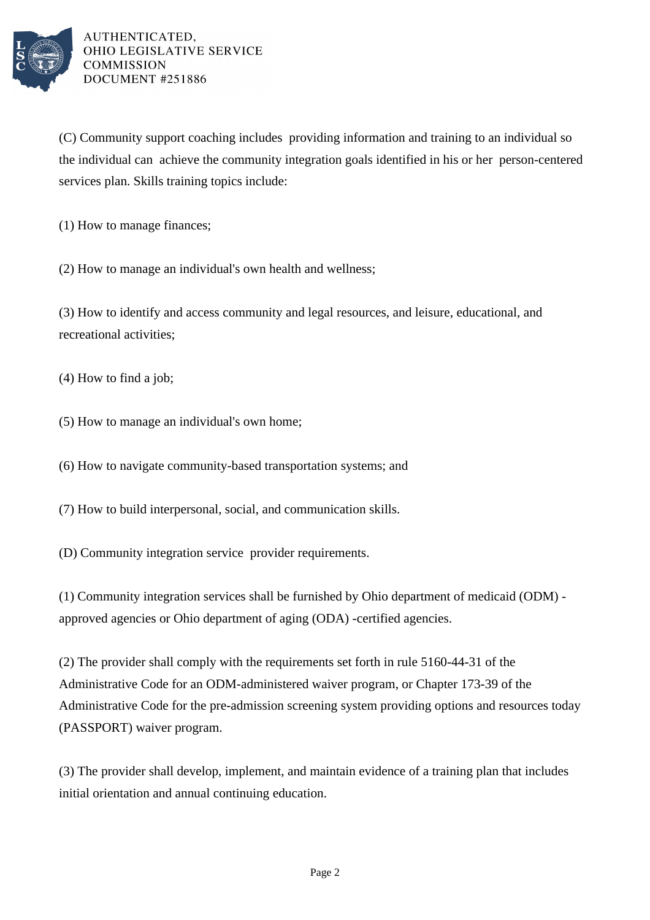

(C) Community support coaching includes providing information and training to an individual so the individual can achieve the community integration goals identified in his or her person-centered services plan. Skills training topics include:

 $(1)$  How to manage finances;

(2) How to manage an individual's own health and wellness;

(3) How to identify and access community and legal resources, and leisure, educational, and recreational activities;

 $(4)$  How to find a job;

(5) How to manage an individual's own home;

(6) How to navigate community-based transportation systems; and

(7) How to build interpersonal, social, and communication skills.

(D) Community integration service provider requirements.

(1) Community integration services shall be furnished by Ohio department of medicaid (ODM) approved agencies or Ohio department of aging (ODA) -certified agencies.

(2) The provider shall comply with the requirements set forth in rule 5160-44-31 of the Administrative Code for an ODM-administered waiver program, or Chapter 173-39 of the Administrative Code for the pre-admission screening system providing options and resources today (PASSPORT) waiver program.

(3) The provider shall develop, implement, and maintain evidence of a training plan that includes initial orientation and annual continuing education.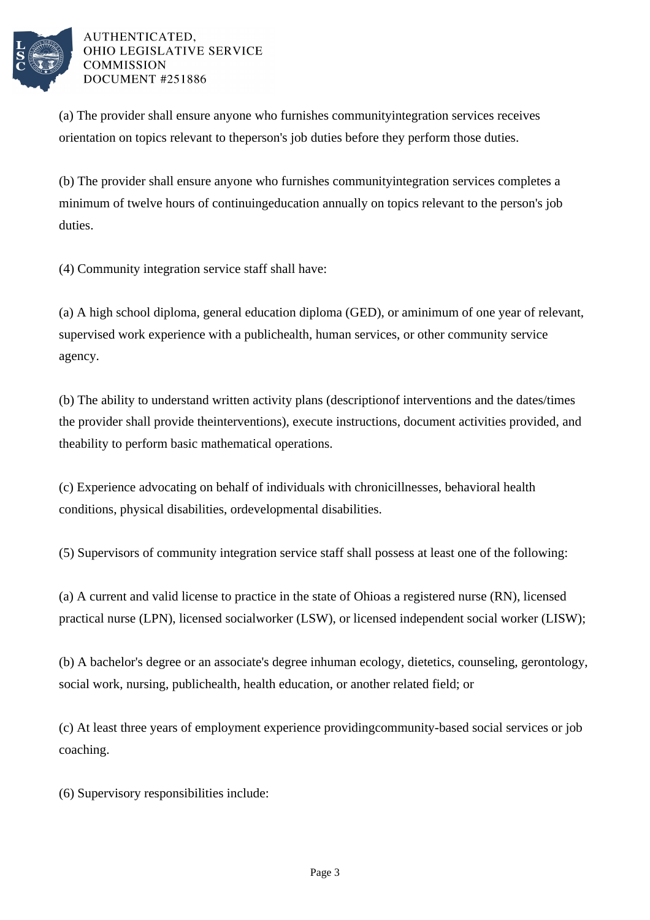

(a) The provider shall ensure anyone who furnishes community integration services receives orientation on topics relevant to the person's job duties before they perform those duties.

(b) The provider shall ensure anyone who furnishes community integration services completes a minimum of twelve hours of continuing education annually on topics relevant to the person's job duties.

(4) Community integration service staff shall have:

(a) A high school diploma, general education diploma (GED), or a minimum of one year of relevant, supervised work experience with a public health, human services, or other community service agency.

(b) The ability to understand written activity plans (description of interventions and the dates/times the provider shall provide the interventions), execute instructions, document activities provided, and the ability to perform basic mathematical operations.

(c) Experience advocating on behalf of individuals with chronic illnesses, behavioral health conditions, physical disabilities, or developmental disabilities.

(5) Supervisors of community integration service staff shall possess at least one of the following:

(a) A current and valid license to practice in the state of Ohio as a registered nurse (RN), licensed practical nurse (LPN), licensed social worker (LSW), or licensed independent social worker (LISW);

(b) A bachelor's degree or an associate's degree in human ecology, dietetics, counseling, gerontology, social work, nursing, public health, health education, or another related field; or

(c) At least three years of employment experience providing community-based social services or job coaching.

(6) Supervisory responsibilities include: